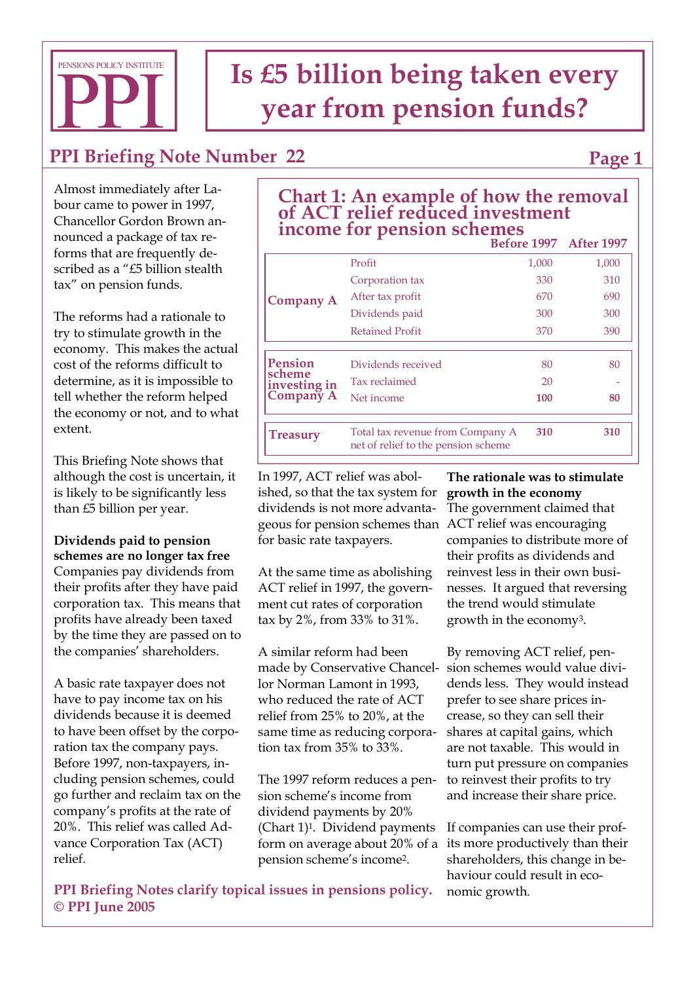

# **Is £5 billion being taken every vear from pension funds?**

## **PPI Briefing Note Number 22**

**Page 1** 

Almost immediately after Labour came to power in 1997, Chancellor Gordon Brown announced a package of tax reforms that are frequently described as a "£5 billion stealth tax" on pension funds.

The reforms had a rationale to try to stimulate growth in the economy. This makes the actual cost of the reforms difficult to determine, as it is impossible to tell whether the reform helped the economy or not, and to what extent.

This Briefing Note shows that although the cost is uncertain, it is likely to be significantly less than £5 billion per year.

**Dividends paid to pension schemes are no longer tax free**  Companies pay dividends from their profits after they have paid corporation tax. This means that profits have already been taxed by the time they are passed on to the companies' shareholders.

A basic rate taxpayer does not have to pay income tax on his dividends because it is deemed to have been offset by the corporation tax the company pays. Before 1997, non-taxpayers, including pension schemes, could go further and reclaim tax on the company's profits at the rate of 20%. This relief was called Advance Corporation Tax (ACT) relief.

| of ACT relief reduced investment<br>income for pension schemes |                  |                               |       |
|----------------------------------------------------------------|------------------|-------------------------------|-------|
|                                                                |                  | <b>Before 1997</b> After 1997 |       |
| Company A                                                      | Profit           | 1.000                         | 1,000 |
|                                                                | Corporation tax  | 330                           | 310   |
|                                                                | After tax profit | 670                           | 690   |

Tax reclaimed 20

net of relief to the pension scheme

Retained Profit 370 390

Dividends paid 300 300

Total tax revenue from Company A **310 310**

Net income **100 80** 

Dividends received 80 80 80

**Chart 1: An example of how the removal** 

In 1997, ACT relief was abolished, so that the tax system for dividends is not more advantageous for pension schemes than ACT relief was encouraging for basic rate taxpayers.

**Pension scheme investing in Company A**

**Treasury**

At the same time as abolishing ACT relief in 1997, the government cut rates of corporation tax by 2%, from 33% to 31%.

A similar reform had been made by Conservative Chancellor Norman Lamont in 1993, who reduced the rate of ACT relief from 25% to 20%, at the same time as reducing corporation tax from 35% to 33%.

The 1997 reform reduces a pension scheme's income from dividend payments by 20% (Chart 1)1. Dividend payments form on average about 20% of a pension scheme's income2.

**The rationale was to stimulate growth in the economy** The government claimed that companies to distribute more of their profits as dividends and reinvest less in their own businesses. It argued that reversing the trend would stimulate growth in the economy3.

By removing ACT relief, pension schemes would value dividends less. They would instead prefer to see share prices increase, so they can sell their shares at capital gains, which are not taxable. This would in turn put pressure on companies to reinvest their profits to try and increase their share price.

If companies can use their profits more productively than their shareholders, this change in behaviour could result in economic growth.

**PPI Briefing Notes clarify topical issues in pensions policy. © PPI June 2005**